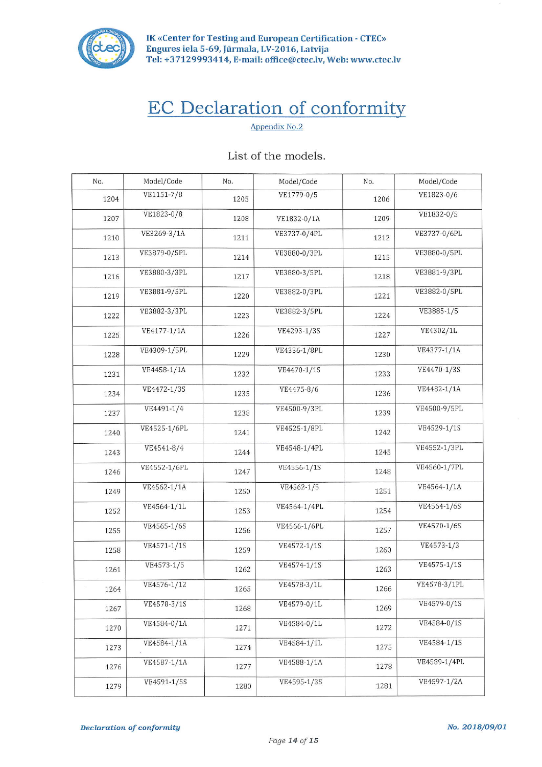

IK «Center for Testing and European Certification - CTEC» Engures iela 5-69, Jūrmala, LV-2016, Latvija Tel: +37129993414, E-mail: office@ctec.lv, Web: www.ctec.lv

## **EC Declaration of conformity**

Appendix No.2

| No.  | Model/Code   | No.  | Model/Code   | No.  | Model/Code   |
|------|--------------|------|--------------|------|--------------|
| 1204 | VE1151-7/8   | 1205 | VE1779-0/5   | 1206 | VE1823-0/6   |
| 1207 | VE1823-0/8   | 1208 | VE1832-0/1A  | 1209 | VE1832-0/5   |
| 1210 | VE3269-3/1A  | 1211 | VE3737-0/4PL | 1212 | VE3737-0/6PL |
| 1213 | VE3879-0/5PL | 1214 | VE3880-0/3PL | 1215 | VE3880-0/5PL |
| 1216 | VE3880-3/3PL | 1217 | VE3880-3/5PL | 1218 | VE3881-9/3PL |
| 1219 | VE3881-9/5PL | 1220 | VE3882-0/3PL | 1221 | VE3882-0/5PL |
| 1222 | VE3882-3/3PL | 1223 | VE3882-3/5PL | 1224 | VE3885-1/5   |
| 1225 | VE4177-1/1A  | 1226 | VE4293-1/3S  | 1227 | VE4302/1L    |
| 1228 | VE4309-1/5PL | 1229 | VE4336-1/8PL | 1230 | VE4377-1/1A  |
| 1231 | VE4458-1/1A  | 1232 | VE4470-1/1S  | 1233 | VE4470-1/3S  |
| 1234 | VE4472-1/3S  | 1235 | VE4475-8/6   | 1236 | VE4482-1/1A  |
| 1237 | VE4491-1/4   | 1238 | VE4500-9/3PL | 1239 | VE4500-9/5PL |
| 1240 | VE4525-1/6PL | 1241 | VE4525-1/8PL | 1242 | VE4529-1/1S  |
| 1243 | VE4541-8/4   | 1244 | VE4548-1/4PL | 1245 | VE4552-1/3PL |
| 1246 | VE4552-1/6PL | 1247 | VE4556-1/1S  | 1248 | VE4560-1/7PL |
| 1249 | VE4562-1/1A  | 1250 | VE4562-1/5   | 1251 | VE4564-1/1A  |
| 1252 | VE4564-1/1L  | 1253 | VE4564-1/4PL | 1254 | VE4564-1/6S  |
| 1255 | VE4565-1/6S  | 1256 | VE4566-1/6PL | 1257 | VE4570-1/6S  |
| 1258 | VE4571-1/1S  | 1259 | VE4572-1/1S  | 1260 | VE4573-1/3   |
| 1261 | VE4573-1/5   | 1262 | VE4574-1/1S  | 1263 | VE4575-1/1S  |
| 1264 | VE4576-1/12  | 1265 | VE4578-3/1L  | 1266 | VE4578-3/1PL |
| 1267 | VE4578-3/1S  | 1268 | VE4579-0/1L  | 1269 | VE4579-0/1S  |
| 1270 | VE4584-0/1A  | 1271 | VE4584-0/1L  | 1272 | VE4584-0/1S  |
| 1273 | VE4584-1/1A  | 1274 | VE4584-1/1L  | 1275 | VE4584-1/1S  |
| 1276 | VE4587-1/1A  | 1277 | VE4588-1/1A  | 1278 | VE4589-1/4PL |
| 1279 | VE4591-1/5S  | 1280 | VE4595-1/3S  | 1281 | VE4597-1/2A  |

## List of the models.